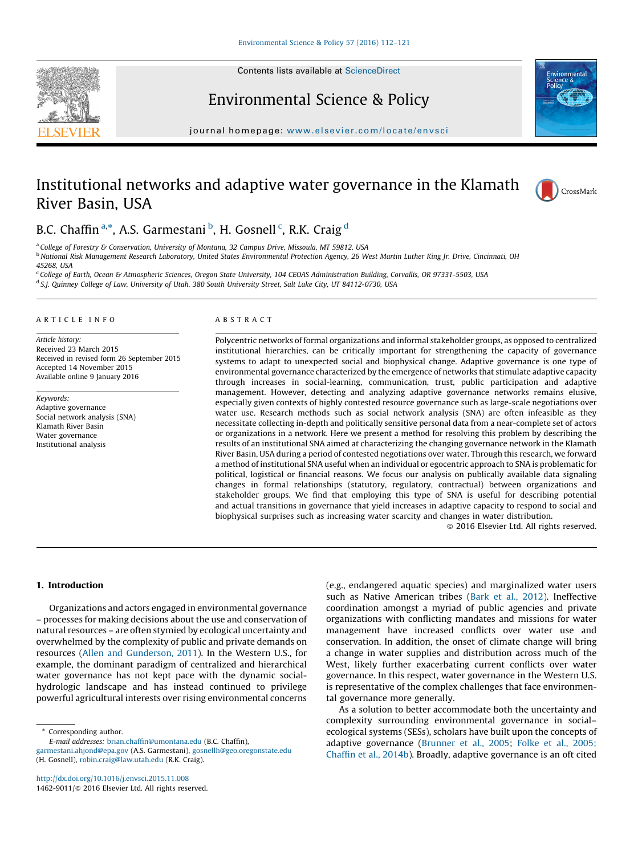Contents lists available at [ScienceDirect](http://www.sciencedirect.com/science/journal/14629011)





# Environmental Science & Policy

journal homepage: <www.elsevier.com/locate/envsci>

## Institutional networks and adaptive water governance in the Klamath River Basin, USA



## B.C. Chaffin <sup>a,\*</sup>, A.S. Garmestani <sup>b</sup>, H. Gosnell <sup>c</sup>, R.K. Craig <sup>d</sup>

<sup>a</sup> College of Forestry & Conservation, University of Montana, 32 Campus Drive, Missoula, MT 59812, USA

<sup>b</sup> National Risk Management Research Laboratory, United States Environmental Protection Agency, 26 West Martin Luther King Jr. Drive, Cincinnati, OH

45268, USA

<sup>c</sup> College of Earth, Ocean & Atmospheric Sciences, Oregon State University, 104 CEOAS Administration Building, Corvallis, OR 97331-5503, USA <sup>d</sup> S.J. Quinney College of Law, University of Utah, 380 South University Street, Salt Lake City, UT 84112-0730, USA

#### ARTICLE INFO

Article history: Received 23 March 2015 Received in revised form 26 September 2015 Accepted 14 November 2015 Available online 9 January 2016

Keywords: Adaptive governance Social network analysis (SNA) Klamath River Basin Water governance Institutional analysis

### ABSTRACT

Polycentric networks of formal organizations and informal stakeholder groups, as opposed to centralized institutional hierarchies, can be critically important for strengthening the capacity of governance systems to adapt to unexpected social and biophysical change. Adaptive governance is one type of environmental governance characterized by the emergence of networks that stimulate adaptive capacity through increases in social-learning, communication, trust, public participation and adaptive management. However, detecting and analyzing adaptive governance networks remains elusive, especially given contexts of highly contested resource governance such as large-scale negotiations over water use. Research methods such as social network analysis (SNA) are often infeasible as they necessitate collecting in-depth and politically sensitive personal data from a near-complete set of actors or organizations in a network. Here we present a method for resolving this problem by describing the results of an institutional SNA aimed at characterizing the changing governance network in the Klamath River Basin, USA during a period of contested negotiations over water. Through this research, we forward a method of institutional SNA useful when an individual or egocentric approach to SNA is problematic for political, logistical or financial reasons. We focus our analysis on publically available data signaling changes in formal relationships (statutory, regulatory, contractual) between organizations and stakeholder groups. We find that employing this type of SNA is useful for describing potential and actual transitions in governance that yield increases in adaptive capacity to respond to social and biophysical surprises such as increasing water scarcity and changes in water distribution.

- 2016 Elsevier Ltd. All rights reserved.

#### 1. Introduction

Organizations and actors engaged in environmental governance – processes for making decisions about the use and conservation of natural resources – are often stymied by ecological uncertainty and overwhelmed by the complexity of public and private demands on resources ([Allen and Gunderson, 2011\)](#page-8-0). In the Western U.S., for example, the dominant paradigm of centralized and hierarchical water governance has not kept pace with the dynamic socialhydrologic landscape and has instead continued to privilege powerful agricultural interests over rising environmental concerns

Corresponding author.

(e.g., endangered aquatic species) and marginalized water users such as Native American tribes ([Bark et al., 2012](#page-8-0)). Ineffective coordination amongst a myriad of public agencies and private organizations with conflicting mandates and missions for water management have increased conflicts over water use and conservation. In addition, the onset of climate change will bring a change in water supplies and distribution across much of the West, likely further exacerbating current conflicts over water governance. In this respect, water governance in the Western U.S. is representative of the complex challenges that face environmental governance more generally.

As a solution to better accommodate both the uncertainty and complexity surrounding environmental governance in social– ecological systems (SESs), scholars have built upon the concepts of adaptive governance [\(Brunner et al., 2005;](#page-8-0) [Folke et al., 2005;](#page-8-0) [Chaffin et al., 2014b](#page-8-0)). Broadly, adaptive governance is an oft cited

E-mail addresses: [brian.chaffin@umontana.edu](mailto:brian.chaffin@umontana.edu) (B.C. Chaffin),

[garmestani.ahjond@epa.gov](mailto:garmestani.ahjond@epa.gov) (A.S. Garmestani), [gosnellh@geo.oregonstate.edu](mailto:gosnellh@geo.oregonstate.edu) (H. Gosnell), [robin.craig@law.utah.edu](mailto:robin.craig@law.utah.edu) (R.K. Craig).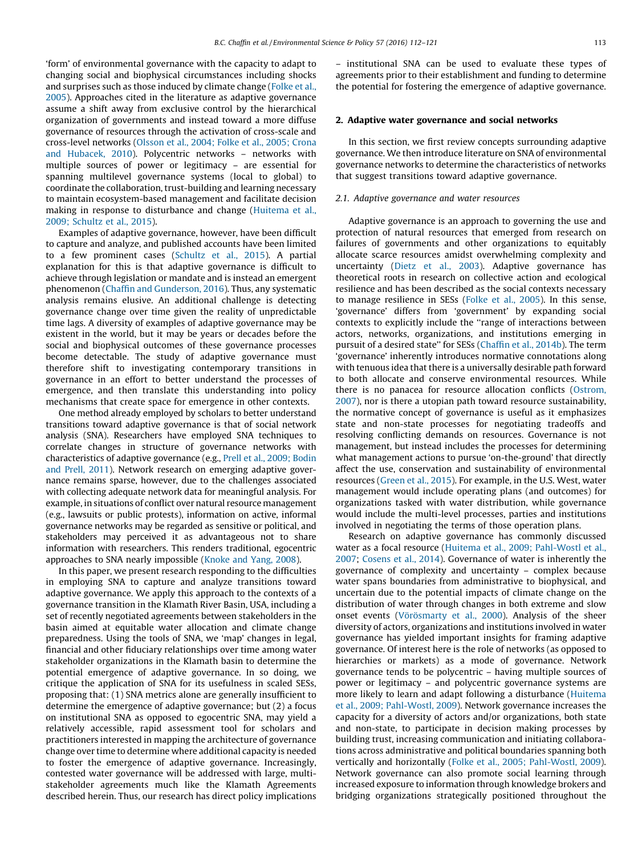'form' of environmental governance with the capacity to adapt to changing social and biophysical circumstances including shocks and surprises such as those induced by climate change ([Folke et al.,](#page-8-0) [2005\)](#page-8-0). Approaches cited in the literature as adaptive governance assume a shift away from exclusive control by the hierarchical organization of governments and instead toward a more diffuse governance of resources through the activation of cross-scale and cross-level networks ([Olsson et al., 2004; Folke et al., 2005; Crona](#page-9-0) [and Hubacek, 2010\)](#page-9-0). Polycentric networks – networks with multiple sources of power or legitimacy – are essential for spanning multilevel governance systems (local to global) to coordinate the collaboration, trust-building and learning necessary to maintain ecosystem-based management and facilitate decision making in response to disturbance and change [\(Huitema et al.,](#page-8-0) [2009; Schultz et al., 2015\)](#page-8-0).

Examples of adaptive governance, however, have been difficult to capture and analyze, and published accounts have been limited to a few prominent cases ([Schultz et al., 2015](#page-9-0)). A partial explanation for this is that adaptive governance is difficult to achieve through legislation or mandate and is instead an emergent phenomenon [\(Chaffin and Gunderson, 2016\)](#page-8-0). Thus, any systematic analysis remains elusive. An additional challenge is detecting governance change over time given the reality of unpredictable time lags. A diversity of examples of adaptive governance may be existent in the world, but it may be years or decades before the social and biophysical outcomes of these governance processes become detectable. The study of adaptive governance must therefore shift to investigating contemporary transitions in governance in an effort to better understand the processes of emergence, and then translate this understanding into policy mechanisms that create space for emergence in other contexts.

One method already employed by scholars to better understand transitions toward adaptive governance is that of social network analysis (SNA). Researchers have employed SNA techniques to correlate changes in structure of governance networks with characteristics of adaptive governance (e.g., [Prell et al., 2009; Bodin](#page-9-0) [and Prell, 2011](#page-9-0)). Network research on emerging adaptive governance remains sparse, however, due to the challenges associated with collecting adequate network data for meaningful analysis. For example, in situations of conflict over natural resource management (e.g., lawsuits or public protests), information on active, informal governance networks may be regarded as sensitive or political, and stakeholders may perceived it as advantageous not to share information with researchers. This renders traditional, egocentric approaches to SNA nearly impossible ([Knoke and Yang, 2008\)](#page-9-0).

In this paper, we present research responding to the difficulties in employing SNA to capture and analyze transitions toward adaptive governance. We apply this approach to the contexts of a governance transition in the Klamath River Basin, USA, including a set of recently negotiated agreements between stakeholders in the basin aimed at equitable water allocation and climate change preparedness. Using the tools of SNA, we 'map' changes in legal, financial and other fiduciary relationships over time among water stakeholder organizations in the Klamath basin to determine the potential emergence of adaptive governance. In so doing, we critique the application of SNA for its usefulness in scaled SESs, proposing that: (1) SNA metrics alone are generally insufficient to determine the emergence of adaptive governance; but (2) a focus on institutional SNA as opposed to egocentric SNA, may yield a relatively accessible, rapid assessment tool for scholars and practitioners interested in mapping the architecture of governance change over time to determine where additional capacity is needed to foster the emergence of adaptive governance. Increasingly, contested water governance will be addressed with large, multistakeholder agreements much like the Klamath Agreements described herein. Thus, our research has direct policy implications – institutional SNA can be used to evaluate these types of agreements prior to their establishment and funding to determine the potential for fostering the emergence of adaptive governance.

#### 2. Adaptive water governance and social networks

In this section, we first review concepts surrounding adaptive governance. We then introduce literature on SNA of environmental governance networks to determine the characteristics of networks that suggest transitions toward adaptive governance.

#### 2.1. Adaptive governance and water resources

Adaptive governance is an approach to governing the use and protection of natural resources that emerged from research on failures of governments and other organizations to equitably allocate scarce resources amidst overwhelming complexity and uncertainty [\(Dietz et al., 2003\)](#page-8-0). Adaptive governance has theoretical roots in research on collective action and ecological resilience and has been described as the social contexts necessary to manage resilience in SESs [\(Folke et al., 2005](#page-8-0)). In this sense, 'governance' differs from 'government' by expanding social contexts to explicitly include the ''range of interactions between actors, networks, organizations, and institutions emerging in pursuit of a desired state'' for SESs ([Chaffin et al., 2014b](#page-8-0)). The term 'governance' inherently introduces normative connotations along with tenuous idea that there is a universally desirable path forward to both allocate and conserve environmental resources. While there is no panacea for resource allocation conflicts [\(Ostrom,](#page-9-0) [2007\)](#page-9-0), nor is there a utopian path toward resource sustainability, the normative concept of governance is useful as it emphasizes state and non-state processes for negotiating tradeoffs and resolving conflicting demands on resources. Governance is not management, but instead includes the processes for determining what management actions to pursue 'on-the-ground' that directly affect the use, conservation and sustainability of environmental resources ([Green et al., 2015](#page-8-0)). For example, in the U.S. West, water management would include operating plans (and outcomes) for organizations tasked with water distribution, while governance would include the multi-level processes, parties and institutions involved in negotiating the terms of those operation plans.

Research on adaptive governance has commonly discussed water as a focal resource [\(Huitema et al., 2009; Pahl-Wostl et al.,](#page-8-0) [2007;](#page-8-0) [Cosens et al., 2014](#page-8-0)). Governance of water is inherently the governance of complexity and uncertainty – complex because water spans boundaries from administrative to biophysical, and uncertain due to the potential impacts of climate change on the distribution of water through changes in both extreme and slow onset events (Vörö[smarty et al., 2000](#page-9-0)). Analysis of the sheer diversity of actors, organizations and institutions involved in water governance has yielded important insights for framing adaptive governance. Of interest here is the role of networks (as opposed to hierarchies or markets) as a mode of governance. Network governance tends to be polycentric – having multiple sources of power or legitimacy – and polycentric governance systems are more likely to learn and adapt following a disturbance [\(Huitema](#page-8-0) [et al., 2009; Pahl-Wostl, 2009](#page-8-0)). Network governance increases the capacity for a diversity of actors and/or organizations, both state and non-state, to participate in decision making processes by building trust, increasing communication and initiating collaborations across administrative and political boundaries spanning both vertically and horizontally [\(Folke et al., 2005; Pahl-Wostl, 2009\)](#page-8-0). Network governance can also promote social learning through increased exposure to information through knowledge brokers and bridging organizations strategically positioned throughout the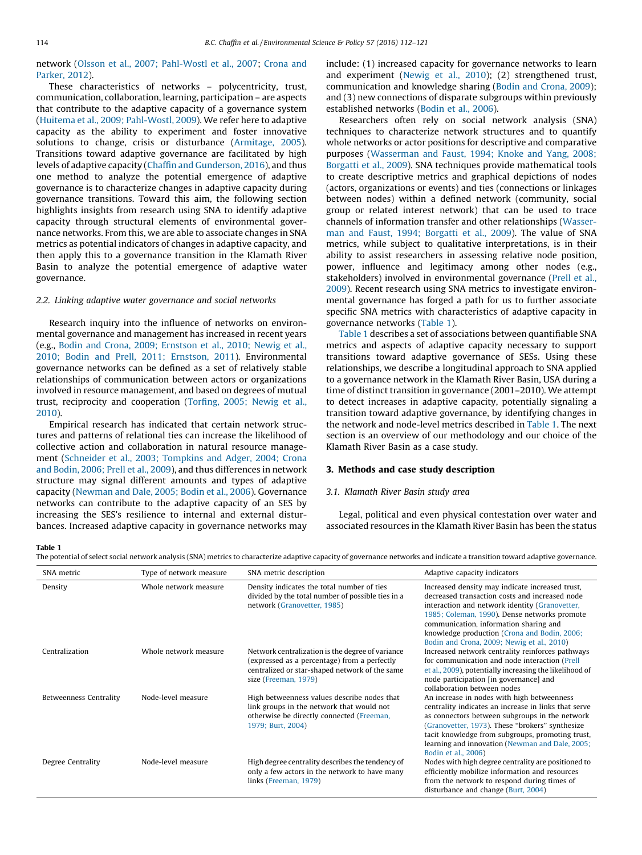<span id="page-2-0"></span>network ([Olsson et al., 2007; Pahl-Wostl et al., 2007](#page-9-0); [Crona and](#page-8-0) [Parker, 2012](#page-8-0)).

These characteristics of networks – polycentricity, trust, communication, collaboration, learning, participation – are aspects that contribute to the adaptive capacity of a governance system ([Huitema et al., 2009; Pahl-Wostl, 2009](#page-8-0)). We refer here to adaptive capacity as the ability to experiment and foster innovative solutions to change, crisis or disturbance [\(Armitage, 2005\)](#page-8-0). Transitions toward adaptive governance are facilitated by high levels of adaptive capacity ([Chaffin and Gunderson, 2016\)](#page-8-0), and thus one method to analyze the potential emergence of adaptive governance is to characterize changes in adaptive capacity during governance transitions. Toward this aim, the following section highlights insights from research using SNA to identify adaptive capacity through structural elements of environmental governance networks. From this, we are able to associate changes in SNA metrics as potential indicators of changes in adaptive capacity, and then apply this to a governance transition in the Klamath River Basin to analyze the potential emergence of adaptive water governance.

## 2.2. Linking adaptive water governance and social networks

Research inquiry into the influence of networks on environmental governance and management has increased in recent years (e.g., [Bodin and Crona, 2009; Ernstson et al., 2010; Newig et al.,](#page-8-0) [2010; Bodin and Prell, 2011; Ernstson, 2011](#page-8-0)). Environmental governance networks can be defined as a set of relatively stable relationships of communication between actors or organizations involved in resource management, and based on degrees of mutual trust, reciprocity and cooperation [\(Torfing, 2005; Newig et al.,](#page-9-0) [2010\)](#page-9-0).

Empirical research has indicated that certain network structures and patterns of relational ties can increase the likelihood of collective action and collaboration in natural resource management [\(Schneider et al., 2003; Tompkins and Adger, 2004; Crona](#page-9-0) [and Bodin, 2006; Prell et al., 2009\)](#page-9-0), and thus differences in network structure may signal different amounts and types of adaptive capacity [\(Newman and Dale, 2005; Bodin et al., 2006\)](#page-9-0). Governance networks can contribute to the adaptive capacity of an SES by increasing the SES's resilience to internal and external disturbances. Increased adaptive capacity in governance networks may

include: (1) increased capacity for governance networks to learn and experiment [\(Newig et al., 2010\)](#page-9-0); (2) strengthened trust, communication and knowledge sharing [\(Bodin and Crona, 2009\)](#page-8-0); and (3) new connections of disparate subgroups within previously established networks [\(Bodin et al., 2006\)](#page-8-0).

Researchers often rely on social network analysis (SNA) techniques to characterize network structures and to quantify whole networks or actor positions for descriptive and comparative purposes ([Wasserman and Faust, 1994; Knoke and Yang, 2008;](#page-9-0) [Borgatti et al., 2009](#page-9-0)). SNA techniques provide mathematical tools to create descriptive metrics and graphical depictions of nodes (actors, organizations or events) and ties (connections or linkages between nodes) within a defined network (community, social group or related interest network) that can be used to trace channels of information transfer and other relationships [\(Wasser](#page-9-0)[man and Faust, 1994; Borgatti et al., 2009\)](#page-9-0). The value of SNA metrics, while subject to qualitative interpretations, is in their ability to assist researchers in assessing relative node position, power, influence and legitimacy among other nodes (e.g., stakeholders) involved in environmental governance [\(Prell et al.,](#page-9-0) [2009\)](#page-9-0). Recent research using SNA metrics to investigate environmental governance has forged a path for us to further associate specific SNA metrics with characteristics of adaptive capacity in governance networks (Table 1).

Table 1 describes a set of associations between quantifiable SNA metrics and aspects of adaptive capacity necessary to support transitions toward adaptive governance of SESs. Using these relationships, we describe a longitudinal approach to SNA applied to a governance network in the Klamath River Basin, USA during a time of distinct transition in governance (2001–2010). We attempt to detect increases in adaptive capacity, potentially signaling a transition toward adaptive governance, by identifying changes in the network and node-level metrics described in Table 1. The next section is an overview of our methodology and our choice of the Klamath River Basin as a case study.

## 3. Methods and case study description

#### 3.1. Klamath River Basin study area

Legal, political and even physical contestation over water and associated resources in the Klamath River Basin has been the status

#### Table 1

The potential of select social network analysis (SNA) metrics to characterize adaptive capacity of governance networks and indicate a transition toward adaptive governance.

| SNA metric                    | Type of network measure | SNA metric description                                                                                                                                                     | Adaptive capacity indicators                                                                                                                                                                                                                                                                                                                |
|-------------------------------|-------------------------|----------------------------------------------------------------------------------------------------------------------------------------------------------------------------|---------------------------------------------------------------------------------------------------------------------------------------------------------------------------------------------------------------------------------------------------------------------------------------------------------------------------------------------|
| Density                       | Whole network measure   | Density indicates the total number of ties<br>divided by the total number of possible ties in a<br>network (Granovetter, 1985)                                             | Increased density may indicate increased trust,<br>decreased transaction costs and increased node<br>interaction and network identity (Granovetter,<br>1985; Coleman, 1990). Dense networks promote<br>communication, information sharing and<br>knowledge production (Crona and Bodin, 2006;<br>Bodin and Crona, 2009; Newig et al., 2010) |
| Centralization                | Whole network measure   | Network centralization is the degree of variance<br>(expressed as a percentage) from a perfectly<br>centralized or star-shaped network of the same<br>size (Freeman, 1979) | Increased network centrality reinforces pathways<br>for communication and node interaction (Prell<br>et al., 2009), potentially increasing the likelihood of<br>node participation [in governance] and<br>collaboration between nodes                                                                                                       |
| <b>Betweenness Centrality</b> | Node-level measure      | High betweenness values describe nodes that<br>link groups in the network that would not<br>otherwise be directly connected (Freeman,<br>1979; Burt, 2004)                 | An increase in nodes with high betweenness<br>centrality indicates an increase in links that serve<br>as connectors between subgroups in the network<br>(Granovetter, 1973). These "brokers" synthesize<br>tacit knowledge from subgroups, promoting trust,<br>learning and innovation (Newman and Dale, 2005;<br>Bodin et al., 2006)       |
| Degree Centrality             | Node-level measure      | High degree centrality describes the tendency of<br>only a few actors in the network to have many<br>links (Freeman, 1979)                                                 | Nodes with high degree centrality are positioned to<br>efficiently mobilize information and resources<br>from the network to respond during times of<br>disturbance and change (Burt, 2004)                                                                                                                                                 |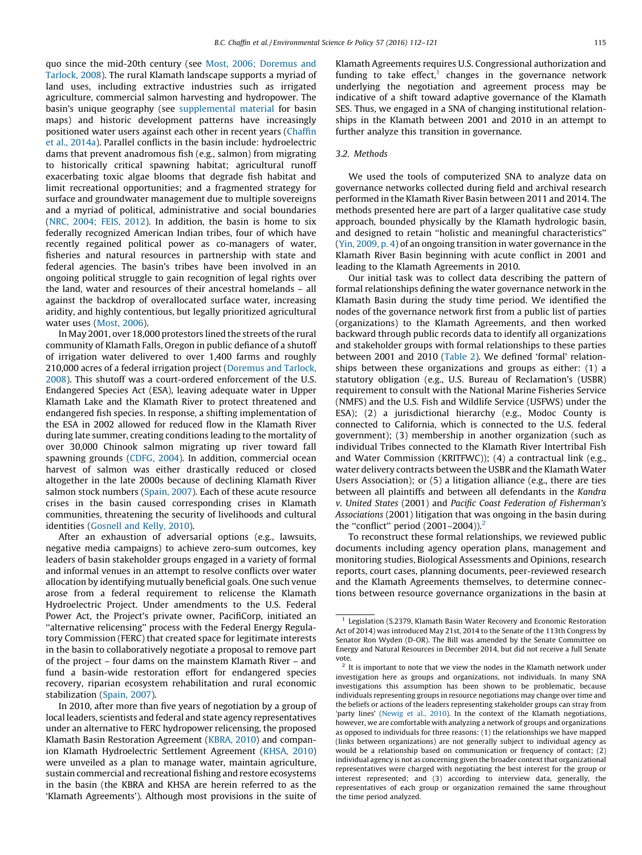quo since the mid-20th century (see [Most, 2006; Doremus and](#page-9-0) [Tarlock, 2008\)](#page-9-0). The rural Klamath landscape supports a myriad of land uses, including extractive industries such as irrigated agriculture, commercial salmon harvesting and hydropower. The basin's unique geography (see [supplemental material](#page-8-0) for basin maps) and historic development patterns have increasingly positioned water users against each other in recent years [\(Chaffin](#page-8-0) [et al., 2014a](#page-8-0)). Parallel conflicts in the basin include: hydroelectric dams that prevent anadromous fish (e.g., salmon) from migrating to historically critical spawning habitat; agricultural runoff exacerbating toxic algae blooms that degrade fish habitat and limit recreational opportunities; and a fragmented strategy for surface and groundwater management due to multiple sovereigns and a myriad of political, administrative and social boundaries ([NRC, 2004; FEIS, 2012](#page-9-0)). In addition, the basin is home to six federally recognized American Indian tribes, four of which have recently regained political power as co-managers of water, fisheries and natural resources in partnership with state and federal agencies. The basin's tribes have been involved in an ongoing political struggle to gain recognition of legal rights over the land, water and resources of their ancestral homelands – all against the backdrop of overallocated surface water, increasing aridity, and highly contentious, but legally prioritized agricultural water uses [\(Most, 2006](#page-9-0)).

In May 2001, over 18,000 protestors lined the streets of the rural community of Klamath Falls, Oregon in public defiance of a shutoff of irrigation water delivered to over 1,400 farms and roughly 210,000 acres of a federal irrigation project ([Doremus and Tarlock,](#page-8-0) [2008\)](#page-8-0). This shutoff was a court-ordered enforcement of the U.S. Endangered Species Act (ESA), leaving adequate water in Upper Klamath Lake and the Klamath River to protect threatened and endangered fish species. In response, a shifting implementation of the ESA in 2002 allowed for reduced flow in the Klamath River during late summer, creating conditions leading to the mortality of over 30,000 Chinook salmon migrating up river toward fall spawning grounds ([CDFG, 2004](#page-8-0)). In addition, commercial ocean harvest of salmon was either drastically reduced or closed altogether in the late 2000s because of declining Klamath River salmon stock numbers [\(Spain, 2007](#page-9-0)). Each of these acute resource crises in the basin caused corresponding crises in Klamath communities, threatening the security of livelihoods and cultural identities [\(Gosnell and Kelly, 2010\)](#page-8-0).

After an exhaustion of adversarial options (e.g., lawsuits, negative media campaigns) to achieve zero-sum outcomes, key leaders of basin stakeholder groups engaged in a variety of formal and informal venues in an attempt to resolve conflicts over water allocation by identifying mutually beneficial goals. One such venue arose from a federal requirement to relicense the Klamath Hydroelectric Project. Under amendments to the U.S. Federal Power Act, the Project's private owner, PacifiCorp, initiated an ''alternative relicensing'' process with the Federal Energy Regulatory Commission (FERC) that created space for legitimate interests in the basin to collaboratively negotiate a proposal to remove part of the project – four dams on the mainstem Klamath River – and fund a basin-wide restoration effort for endangered species recovery, riparian ecosystem rehabilitation and rural economic stabilization ([Spain, 2007](#page-9-0)).

Klamath Agreements requires U.S. Congressional authorization and funding to take effect,<sup>1</sup> changes in the governance network underlying the negotiation and agreement process may be indicative of a shift toward adaptive governance of the Klamath SES. Thus, we engaged in a SNA of changing institutional relationships in the Klamath between 2001 and 2010 in an attempt to further analyze this transition in governance.

#### 3.2. Methods

We used the tools of computerized SNA to analyze data on governance networks collected during field and archival research performed in the Klamath River Basin between 2011 and 2014. The methods presented here are part of a larger qualitative case study approach, bounded physically by the Klamath hydrologic basin, and designed to retain ''holistic and meaningful characteristics'' ([Yin, 2009, p. 4\)](#page-9-0) of an ongoing transition in water governance in the Klamath River Basin beginning with acute conflict in 2001 and leading to the Klamath Agreements in 2010.

Our initial task was to collect data describing the pattern of formal relationships defining the water governance network in the Klamath Basin during the study time period. We identified the nodes of the governance network first from a public list of parties (organizations) to the Klamath Agreements, and then worked backward through public records data to identify all organizations and stakeholder groups with formal relationships to these parties between 2001 and 2010 ([Table 2](#page-4-0)). We defined 'formal' relationships between these organizations and groups as either: (1) a statutory obligation (e.g., U.S. Bureau of Reclamation's (USBR) requirement to consult with the National Marine Fisheries Service (NMFS) and the U.S. Fish and Wildlife Service (USFWS) under the ESA); (2) a jurisdictional hierarchy (e.g., Modoc County is connected to California, which is connected to the U.S. federal government); (3) membership in another organization (such as individual Tribes connected to the Klamath River Intertribal Fish and Water Commission (KRITFWC)); (4) a contractual link (e.g., water delivery contracts between the USBR and the Klamath Water Users Association); or (5) a litigation alliance (e.g., there are ties between all plaintiffs and between all defendants in the Kandra v. United States (2001) and Pacific Coast Federation of Fisherman's Associations (2001) litigation that was ongoing in the basin during the "conflict" period  $(2001–2004)$ .<sup>2</sup>

To reconstruct these formal relationships, we reviewed public documents including agency operation plans, management and monitoring studies, Biological Assessments and Opinions, research reports, court cases, planning documents, peer-reviewed research and the Klamath Agreements themselves, to determine connections between resource governance organizations in the basin at

In 2010, after more than five years of negotiation by a group of local leaders, scientists and federal and state agency representatives under an alternative to FERC hydropower relicensing, the proposed Klamath Basin Restoration Agreement [\(KBRA, 2010\)](#page-9-0) and companion Klamath Hydroelectric Settlement Agreement [\(KHSA, 2010\)](#page-9-0) were unveiled as a plan to manage water, maintain agriculture, sustain commercial and recreational fishing and restore ecosystems in the basin (the KBRA and KHSA are herein referred to as the 'Klamath Agreements'). Although most provisions in the suite of

 $1$  Legislation (S.2379, Klamath Basin Water Recovery and Economic Restoration Act of 2014) was introduced May 21st, 2014 to the Senate of the 113th Congress by Senator Ron Wyden (D-OR). The Bill was amended by the Senate Committee on Energy and Natural Resources in December 2014, but did not receive a full Senate vote.

<sup>&</sup>lt;sup>2</sup> It is important to note that we view the nodes in the Klamath network under investigation here as groups and organizations, not individuals. In many SNA investigations this assumption has been shown to be problematic, because individuals representing groups in resource negotiations may change over time and the beliefs or actions of the leaders representing stakeholder groups can stray from 'party lines' ([Newig et al., 2010](#page-9-0)). In the context of the Klamath negotiations, however, we are comfortable with analyzing a network of groups and organizations as opposed to individuals for three reasons: (1) the relationships we have mapped (links between organizations) are not generally subject to individual agency as would be a relationship based on communication or frequency of contact; (2) individual agency is not as concerning given the broader context that organizational representatives were charged with negotiating the best interest for the group or interest represented; and (3) according to interview data, generally, the representatives of each group or organization remained the same throughout the time period analyzed.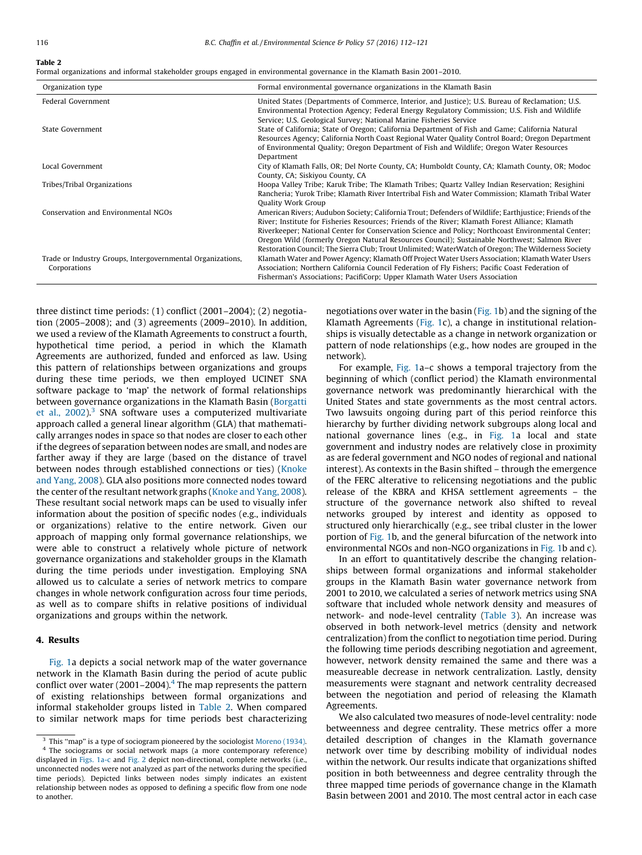## <span id="page-4-0"></span>Table 2

|  |  |  |  |  |  | Formal organizations and informal stakeholder groups engaged in environmental governance in the Klamath Basin 2001–2010. |  |  |  |  |  |  |
|--|--|--|--|--|--|--------------------------------------------------------------------------------------------------------------------------|--|--|--|--|--|--|
|--|--|--|--|--|--|--------------------------------------------------------------------------------------------------------------------------|--|--|--|--|--|--|

| Organization type                                                          | Formal environmental governance organizations in the Klamath Basin                                                                                                                                                                                                                                                                                                                                                                                                                                                       |
|----------------------------------------------------------------------------|--------------------------------------------------------------------------------------------------------------------------------------------------------------------------------------------------------------------------------------------------------------------------------------------------------------------------------------------------------------------------------------------------------------------------------------------------------------------------------------------------------------------------|
| Federal Government                                                         | United States (Departments of Commerce, Interior, and Justice); U.S. Bureau of Reclamation; U.S.<br>Environmental Protection Agency; Federal Energy Regulatory Commission; U.S. Fish and Wildlife<br>Service; U.S. Geological Survey; National Marine Fisheries Service                                                                                                                                                                                                                                                  |
| State Government                                                           | State of California; State of Oregon; California Department of Fish and Game; California Natural<br>Resources Agency; California North Coast Regional Water Quality Control Board; Oregon Department<br>of Environmental Quality; Oregon Department of Fish and Wildlife; Oregon Water Resources<br>Department                                                                                                                                                                                                           |
| Local Government                                                           | City of Klamath Falls, OR; Del Norte County, CA; Humboldt County, CA; Klamath County, OR; Modoc<br>County, CA; Siskiyou County, CA                                                                                                                                                                                                                                                                                                                                                                                       |
| Tribes/Tribal Organizations                                                | Hoopa Valley Tribe; Karuk Tribe; The Klamath Tribes; Quartz Valley Indian Reservation; Resighini<br>Rancheria; Yurok Tribe; Klamath River Intertribal Fish and Water Commission; Klamath Tribal Water<br><b>Quality Work Group</b>                                                                                                                                                                                                                                                                                       |
| Conservation and Environmental NGOs                                        | American Rivers; Audubon Society; California Trout; Defenders of Wildlife; Earthjustice; Friends of the<br>River; Institute for Fisheries Resources; Friends of the River; Klamath Forest Alliance; Klamath<br>Riverkeeper; National Center for Conservation Science and Policy; Northcoast Environmental Center;<br>Oregon Wild (formerly Oregon Natural Resources Council); Sustainable Northwest; Salmon River<br>Restoration Council; The Sierra Club; Trout Unlimited; WaterWatch of Oregon; The Wilderness Society |
| Trade or Industry Groups, Intergovernmental Organizations,<br>Corporations | Klamath Water and Power Agency; Klamath Off Project Water Users Association; Klamath Water Users<br>Association; Northern California Council Federation of Fly Fishers; Pacific Coast Federation of<br>Fisherman's Associations; PacifiCorp; Upper Klamath Water Users Association                                                                                                                                                                                                                                       |

three distinct time periods: (1) conflict (2001–2004); (2) negotiation (2005–2008); and (3) agreements (2009–2010). In addition, we used a review of the Klamath Agreements to construct a fourth, hypothetical time period, a period in which the Klamath Agreements are authorized, funded and enforced as law. Using this pattern of relationships between organizations and groups during these time periods, we then employed UCINET SNA software package to 'map' the network of formal relationships between governance organizations in the Klamath Basin [\(Borgatti](#page-8-0) et al.,  $2002$ ).<sup>3</sup> SNA software uses a computerized multivariate approach called a general linear algorithm (GLA) that mathematically arranges nodes in space so that nodes are closer to each other if the degrees of separation between nodes are small, and nodes are farther away if they are large (based on the distance of travel between nodes through established connections or ties) ([Knoke](#page-9-0) [and Yang, 2008\)](#page-9-0). GLA also positions more connected nodes toward the center of the resultant network graphs ([Knoke and Yang, 2008\)](#page-9-0). These resultant social network maps can be used to visually infer information about the position of specific nodes (e.g., individuals or organizations) relative to the entire network. Given our approach of mapping only formal governance relationships, we were able to construct a relatively whole picture of network governance organizations and stakeholder groups in the Klamath during the time periods under investigation. Employing SNA allowed us to calculate a series of network metrics to compare changes in whole network configuration across four time periods, as well as to compare shifts in relative positions of individual organizations and groups within the network.

## 4. Results

[Fig. 1a](#page-5-0) depicts a social network map of the water governance network in the Klamath Basin during the period of acute public conflict over water (2001–2004). $4$  The map represents the pattern of existing relationships between formal organizations and informal stakeholder groups listed in Table 2. When compared to similar network maps for time periods best characterizing negotiations over water in the basin [\(Fig. 1b](#page-5-0)) and the signing of the Klamath Agreements ([Fig. 1c](#page-5-0)), a change in institutional relationships is visually detectable as a change in network organization or pattern of node relationships (e.g., how nodes are grouped in the network).

For example, [Fig. 1](#page-5-0)a–c shows a temporal trajectory from the beginning of which (conflict period) the Klamath environmental governance network was predominantly hierarchical with the United States and state governments as the most central actors. Two lawsuits ongoing during part of this period reinforce this hierarchy by further dividing network subgroups along local and national governance lines (e.g., in [Fig. 1a](#page-5-0) local and state government and industry nodes are relatively close in proximity as are federal government and NGO nodes of regional and national interest). As contexts in the Basin shifted – through the emergence of the FERC alterative to relicensing negotiations and the public release of the KBRA and KHSA settlement agreements – the structure of the governance network also shifted to reveal networks grouped by interest and identity as opposed to structured only hierarchically (e.g., see tribal cluster in the lower portion of [Fig. 1b](#page-5-0), and the general bifurcation of the network into environmental NGOs and non-NGO organizations in [Fig. 1b](#page-5-0) and c).

In an effort to quantitatively describe the changing relationships between formal organizations and informal stakeholder groups in the Klamath Basin water governance network from 2001 to 2010, we calculated a series of network metrics using SNA software that included whole network density and measures of network- and node-level centrality [\(Table 3](#page-6-0)). An increase was observed in both network-level metrics (density and network centralization) from the conflict to negotiation time period. During the following time periods describing negotiation and agreement, however, network density remained the same and there was a measureable decrease in network centralization. Lastly, density measurements were stagnant and network centrality decreased between the negotiation and period of releasing the Klamath Agreements.

We also calculated two measures of node-level centrality: node betweenness and degree centrality. These metrics offer a more detailed description of changes in the Klamath governance network over time by describing mobility of individual nodes within the network. Our results indicate that organizations shifted position in both betweenness and degree centrality through the three mapped time periods of governance change in the Klamath Basin between 2001 and 2010. The most central actor in each case

This "map" is a type of sociogram pioneered by the sociologist [Moreno \(1934\)](#page-9-0). <sup>4</sup> The sociograms or social network maps (a more contemporary reference) displayed in [Figs. 1a-c](#page-5-0) and [Fig. 2](#page-7-0) depict non-directional, complete networks (i.e., unconnected nodes were not analyzed as part of the networks during the specified time periods). Depicted links between nodes simply indicates an existent relationship between nodes as opposed to defining a specific flow from one node to another.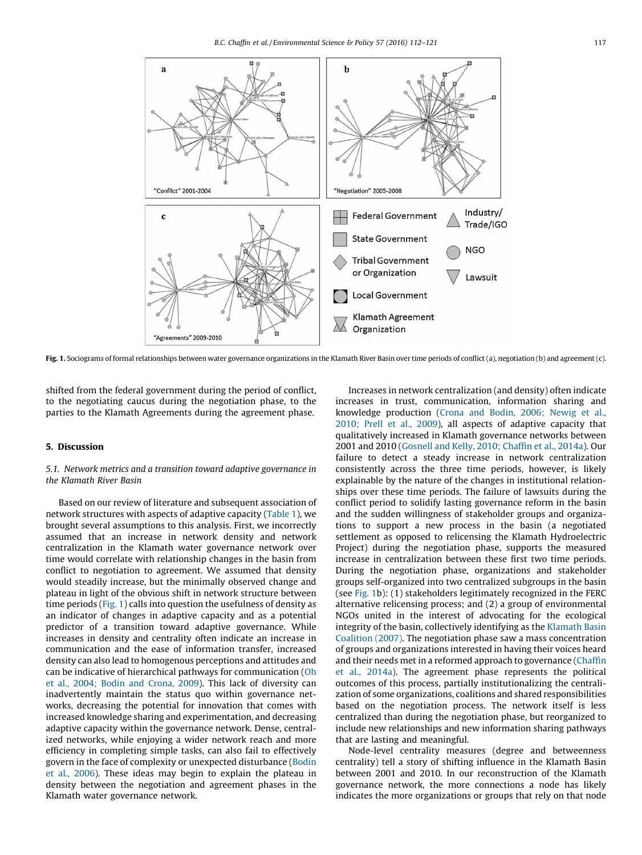<span id="page-5-0"></span>

Fig. 1. Sociograms of formal relationships between water governance organizations in the Klamath River Basin over time periods of conflict (a), negotiation (b) and agreement (c).

shifted from the federal government during the period of conflict, to the negotiating caucus during the negotiation phase, to the parties to the Klamath Agreements during the agreement phase.

## 5. Discussion

## 5.1. Network metrics and a transition toward adaptive governance in the Klamath River Basin

Based on our review of literature and subsequent association of network structures with aspects of adaptive capacity ([Table 1](#page-2-0)), we brought several assumptions to this analysis. First, we incorrectly assumed that an increase in network density and network centralization in the Klamath water governance network over time would correlate with relationship changes in the basin from conflict to negotiation to agreement. We assumed that density would steadily increase, but the minimally observed change and plateau in light of the obvious shift in network structure between time periods (Fig. 1) calls into question the usefulness of density as an indicator of changes in adaptive capacity and as a potential predictor of a transition toward adaptive governance. While increases in density and centrality often indicate an increase in communication and the ease of information transfer, increased density can also lead to homogenous perceptions and attitudes and can be indicative of hierarchical pathways for communication ([Oh](#page-9-0) [et al., 2004; Bodin and Crona, 2009\)](#page-9-0). This lack of diversity can inadvertently maintain the status quo within governance networks, decreasing the potential for innovation that comes with increased knowledge sharing and experimentation, and decreasing adaptive capacity within the governance network. Dense, centralized networks, while enjoying a wider network reach and more efficiency in completing simple tasks, can also fail to effectively govern in the face of complexity or unexpected disturbance ([Bodin](#page-8-0) [et al., 2006\)](#page-8-0). These ideas may begin to explain the plateau in density between the negotiation and agreement phases in the Klamath water governance network.

Increases in network centralization (and density) often indicate increases in trust, communication, information sharing and knowledge production [\(Crona and Bodin, 2006; Newig et al.,](#page-8-0) [2010; Prell et al., 2009](#page-8-0)), all aspects of adaptive capacity that qualitatively increased in Klamath governance networks between 2001 and 2010 ([Gosnell and Kelly, 2010; Chaffin et al., 2014a](#page-8-0)). Our failure to detect a steady increase in network centralization consistently across the three time periods, however, is likely explainable by the nature of the changes in institutional relationships over these time periods. The failure of lawsuits during the conflict period to solidify lasting governance reform in the basin and the sudden willingness of stakeholder groups and organizations to support a new process in the basin (a negotiated settlement as opposed to relicensing the Klamath Hydroelectric Project) during the negotiation phase, supports the measured increase in centralization between these first two time periods. During the negotiation phase, organizations and stakeholder groups self-organized into two centralized subgroups in the basin (see Fig. 1b): (1) stakeholders legitimately recognized in the FERC alternative relicensing process; and (2) a group of environmental NGOs united in the interest of advocating for the ecological integrity of the basin, collectively identifying as the [Klamath Basin](#page-9-0) [Coalition \(2007\)](#page-9-0). The negotiation phase saw a mass concentration of groups and organizations interested in having their voices heard and their needs met in a reformed approach to governance [\(Chaffin](#page-8-0) [et al., 2014a](#page-8-0)). The agreement phase represents the political outcomes of this process, partially institutionalizing the centralization of some organizations, coalitions and shared responsibilities based on the negotiation process. The network itself is less centralized than during the negotiation phase, but reorganized to include new relationships and new information sharing pathways that are lasting and meaningful.

Node-level centrality measures (degree and betweenness centrality) tell a story of shifting influence in the Klamath Basin between 2001 and 2010. In our reconstruction of the Klamath governance network, the more connections a node has likely indicates the more organizations or groups that rely on that node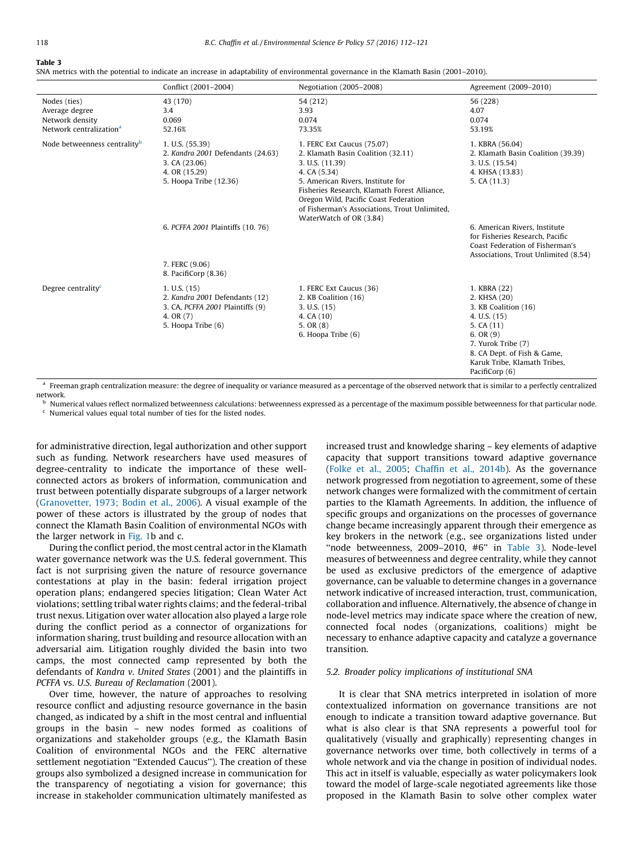## <span id="page-6-0"></span>Table 3

SNA metrics with the potential to indicate an increase in adaptability of environmental governance in the Klamath Basin (2001–2010).

|                                                                                          | Conflict (2001-2004)                                                                                                  | Negotiation (2005-2008)                                                                                                                                                                                                                                                                                       | Agreement (2009-2010)                                                                                                                                                                                     |  |  |
|------------------------------------------------------------------------------------------|-----------------------------------------------------------------------------------------------------------------------|---------------------------------------------------------------------------------------------------------------------------------------------------------------------------------------------------------------------------------------------------------------------------------------------------------------|-----------------------------------------------------------------------------------------------------------------------------------------------------------------------------------------------------------|--|--|
| Nodes (ties)<br>Average degree<br>Network density<br>Network centralization <sup>a</sup> | 43 (170)<br>3.4<br>0.069<br>52.16%                                                                                    | 54 (212)<br>3.93<br>0.074<br>73.35%                                                                                                                                                                                                                                                                           | 56 (228)<br>4.07<br>0.074<br>53.19%                                                                                                                                                                       |  |  |
| Node betweenness centrality <sup>b</sup>                                                 | 1. U.S. (55.39)<br>2. Kandra 2001 Defendants (24.63)<br>3. CA (23.06)<br>4. OR (15.29)<br>5. Hoopa Tribe (12.36)      | 1. FERC Ext Caucus (75.07)<br>2. Klamath Basin Coalition (32.11)<br>3. U.S. (11.39)<br>4. CA (5.34)<br>5. American Rivers, Institute for<br>Fisheries Research, Klamath Forest Alliance,<br>Oregon Wild, Pacific Coast Federation<br>of Fisherman's Associations, Trout Unlimited,<br>WaterWatch of OR (3.84) | 1. KBRA (56.04)<br>2. Klamath Basin Coalition (39.39)<br>3. U.S. (15.54)<br>4. KHSA (13.83)<br>5. CA (11.3)                                                                                               |  |  |
|                                                                                          | 6. PCFFA 2001 Plaintiffs (10, 76)<br>7. FERC (9.06)<br>8. PacifiCorp (8.36)                                           |                                                                                                                                                                                                                                                                                                               | 6. American Rivers, Institute<br>for Fisheries Research, Pacific<br>Coast Federation of Fisherman's<br>Associations, Trout Unlimited (8.54)                                                               |  |  |
| Degree centrality <sup>c</sup>                                                           | 1. U.S. (15)<br>2. Kandra 2001 Defendants (12)<br>3. CA, PCFFA 2001 Plaintiffs (9)<br>4. OR (7)<br>5. Hoopa Tribe (6) | 1. FERC Ext Caucus (36)<br>2. KB Coalition (16)<br>3. U.S. (15)<br>4. CA (10)<br>5. OR $(8)$<br>6. Hoopa Tribe (6)                                                                                                                                                                                            | 1. KBRA (22)<br>2. KHSA (20)<br>3. KB Coalition (16)<br>4. U.S. (15)<br>5. $CA(11)$<br>6. OR $(9)$<br>7. Yurok Tribe (7)<br>8. CA Dept. of Fish & Game,<br>Karuk Tribe, Klamath Tribes,<br>PacifiCorp (6) |  |  |

a Freeman graph centralization measure: the degree of inequality or variance measured as a percentage of the observed network that is similar to a perfectly centralized network.

<sup>b</sup> Numerical values reflect normalized betweenness calculations: betweenness expressed as a percentage of the maximum possible betweenness for that particular node.  $c$  Numerical values equal total number of ties for the listed nodes.

for administrative direction, legal authorization and other support such as funding. Network researchers have used measures of degree-centrality to indicate the importance of these wellconnected actors as brokers of information, communication and trust between potentially disparate subgroups of a larger network ([Granovetter, 1973; Bodin et al., 2006\)](#page-8-0). A visual example of the power of these actors is illustrated by the group of nodes that connect the Klamath Basin Coalition of environmental NGOs with the larger network in [Fig. 1b](#page-5-0) and c.

During the conflict period, the most central actor in the Klamath water governance network was the U.S. federal government. This fact is not surprising given the nature of resource governance contestations at play in the basin: federal irrigation project operation plans; endangered species litigation; Clean Water Act violations; settling tribal water rights claims; and the federal-tribal trust nexus. Litigation over water allocation also played a large role during the conflict period as a connector of organizations for information sharing, trust building and resource allocation with an adversarial aim. Litigation roughly divided the basin into two camps, the most connected camp represented by both the defendants of Kandra v. United States (2001) and the plaintiffs in PCFFA vs. U.S. Bureau of Reclamation (2001).

Over time, however, the nature of approaches to resolving resource conflict and adjusting resource governance in the basin changed, as indicated by a shift in the most central and influential groups in the basin – new nodes formed as coalitions of organizations and stakeholder groups (e.g., the Klamath Basin Coalition of environmental NGOs and the FERC alternative settlement negotiation "Extended Caucus"). The creation of these groups also symbolized a designed increase in communication for the transparency of negotiating a vision for governance; this increase in stakeholder communication ultimately manifested as

increased trust and knowledge sharing – key elements of adaptive capacity that support transitions toward adaptive governance ([Folke et al., 2005;](#page-8-0) [Chaffin et al., 2014b](#page-8-0)). As the governance network progressed from negotiation to agreement, some of these network changes were formalized with the commitment of certain parties to the Klamath Agreements. In addition, the influence of specific groups and organizations on the processes of governance change became increasingly apparent through their emergence as key brokers in the network (e.g., see organizations listed under "node betweenness, 2009-2010, #6" in Table 3). Node-level measures of betweenness and degree centrality, while they cannot be used as exclusive predictors of the emergence of adaptive governance, can be valuable to determine changes in a governance network indicative of increased interaction, trust, communication, collaboration and influence. Alternatively, the absence of change in node-level metrics may indicate space where the creation of new, connected focal nodes (organizations, coalitions) might be necessary to enhance adaptive capacity and catalyze a governance transition.

#### 5.2. Broader policy implications of institutional SNA

It is clear that SNA metrics interpreted in isolation of more contextualized information on governance transitions are not enough to indicate a transition toward adaptive governance. But what is also clear is that SNA represents a powerful tool for qualitatively (visually and graphically) representing changes in governance networks over time, both collectively in terms of a whole network and via the change in position of individual nodes. This act in itself is valuable, especially as water policymakers look toward the model of large-scale negotiated agreements like those proposed in the Klamath Basin to solve other complex water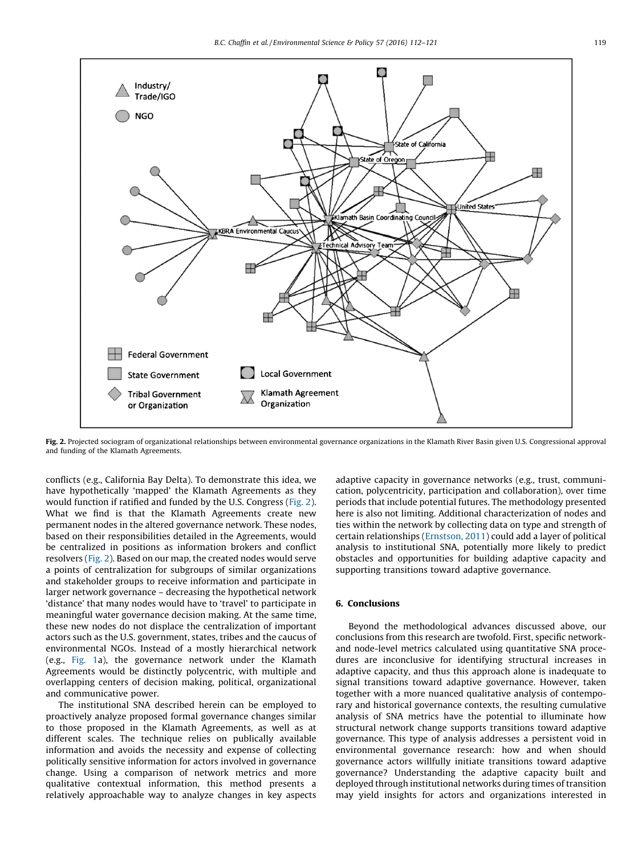<span id="page-7-0"></span>

Fig. 2. Projected sociogram of organizational relationships between environmental governance organizations in the Klamath River Basin given U.S. Congressional approval and funding of the Klamath Agreements.

conflicts (e.g., California Bay Delta). To demonstrate this idea, we have hypothetically 'mapped' the Klamath Agreements as they would function if ratified and funded by the U.S. Congress (Fig. 2). What we find is that the Klamath Agreements create new permanent nodes in the altered governance network. These nodes, based on their responsibilities detailed in the Agreements, would be centralized in positions as information brokers and conflict resolvers (Fig. 2). Based on our map, the created nodes would serve a points of centralization for subgroups of similar organizations and stakeholder groups to receive information and participate in larger network governance – decreasing the hypothetical network 'distance' that many nodes would have to 'travel' to participate in meaningful water governance decision making. At the same time, these new nodes do not displace the centralization of important actors such as the U.S. government, states, tribes and the caucus of environmental NGOs. Instead of a mostly hierarchical network (e.g., [Fig. 1a](#page-5-0)), the governance network under the Klamath Agreements would be distinctly polycentric, with multiple and overlapping centers of decision making, political, organizational and communicative power.

The institutional SNA described herein can be employed to proactively analyze proposed formal governance changes similar to those proposed in the Klamath Agreements, as well as at different scales. The technique relies on publically available information and avoids the necessity and expense of collecting politically sensitive information for actors involved in governance change. Using a comparison of network metrics and more qualitative contextual information, this method presents a relatively approachable way to analyze changes in key aspects adaptive capacity in governance networks (e.g., trust, communication, polycentricity, participation and collaboration), over time periods that include potential futures. The methodology presented here is also not limiting. Additional characterization of nodes and ties within the network by collecting data on type and strength of certain relationships ([Ernstson, 2011\)](#page-8-0) could add a layer of political analysis to institutional SNA, potentially more likely to predict obstacles and opportunities for building adaptive capacity and supporting transitions toward adaptive governance.

## 6. Conclusions

Beyond the methodological advances discussed above, our conclusions from this research are twofold. First, specific networkand node-level metrics calculated using quantitative SNA procedures are inconclusive for identifying structural increases in adaptive capacity, and thus this approach alone is inadequate to signal transitions toward adaptive governance. However, taken together with a more nuanced qualitative analysis of contemporary and historical governance contexts, the resulting cumulative analysis of SNA metrics have the potential to illuminate how structural network change supports transitions toward adaptive governance. This type of analysis addresses a persistent void in environmental governance research: how and when should governance actors willfully initiate transitions toward adaptive governance? Understanding the adaptive capacity built and deployed through institutional networks during times of transition may yield insights for actors and organizations interested in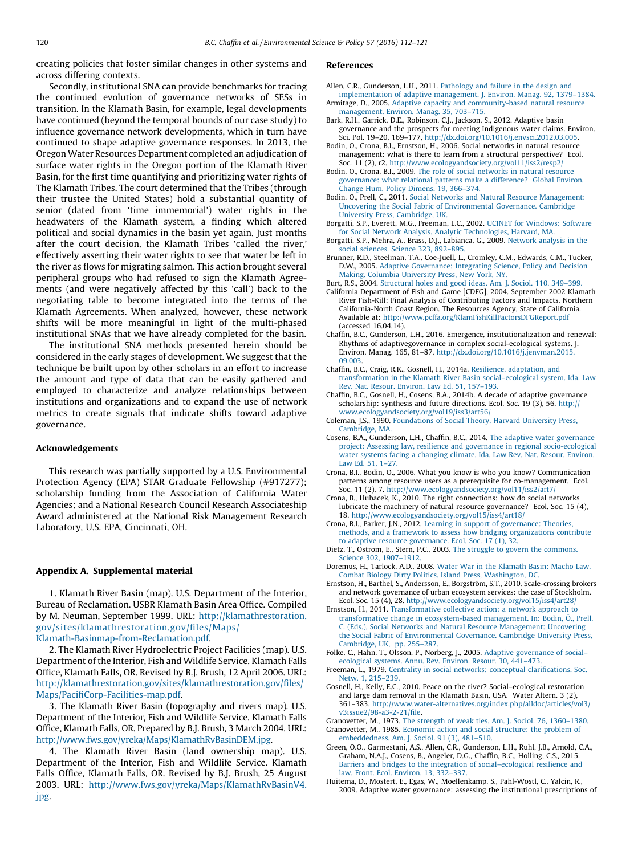<span id="page-8-0"></span>creating policies that foster similar changes in other systems and across differing contexts.

Secondly, institutional SNA can provide benchmarks for tracing the continued evolution of governance networks of SESs in transition. In the Klamath Basin, for example, legal developments have continued (beyond the temporal bounds of our case study) to influence governance network developments, which in turn have continued to shape adaptive governance responses. In 2013, the Oregon Water Resources Department completed an adjudication of surface water rights in the Oregon portion of the Klamath River Basin, for the first time quantifying and prioritizing water rights of The Klamath Tribes. The court determined that the Tribes (through their trustee the United States) hold a substantial quantity of senior (dated from 'time immemorial') water rights in the headwaters of the Klamath system, a finding which altered political and social dynamics in the basin yet again. Just months after the court decision, the Klamath Tribes 'called the river,' effectively asserting their water rights to see that water be left in the river as flows for migrating salmon. This action brought several peripheral groups who had refused to sign the Klamath Agreements (and were negatively affected by this 'call') back to the negotiating table to become integrated into the terms of the Klamath Agreements. When analyzed, however, these network shifts will be more meaningful in light of the multi-phased institutional SNAs that we have already completed for the basin.

The institutional SNA methods presented herein should be considered in the early stages of development. We suggest that the technique be built upon by other scholars in an effort to increase the amount and type of data that can be easily gathered and employed to characterize and analyze relationships between institutions and organizations and to expand the use of network metrics to create signals that indicate shifts toward adaptive governance.

## Acknowledgements

This research was partially supported by a U.S. Environmental Protection Agency (EPA) STAR Graduate Fellowship (#917277); scholarship funding from the Association of California Water Agencies; and a National Research Council Research Associateship Award administered at the National Risk Management Research Laboratory, U.S. EPA, Cincinnati, OH.

## Appendix A. Supplemental material

1. Klamath River Basin (map). U.S. Department of the Interior, Bureau of Reclamation. USBR Klamath Basin Area Office. Compiled by M. Neuman, September 1999. URL: [http://klamathrestoration.](http://klamathrestoration.gov/sites/klamathrestoration.gov/files/Maps/Klamath-Basinmap-from-Reclamation.pdf) [gov/sites/klamathrestoration.gov/files/Maps/](http://klamathrestoration.gov/sites/klamathrestoration.gov/files/Maps/Klamath-Basinmap-from-Reclamation.pdf) [Klamath-Basinmap-from-Reclamation.pdf.](http://klamathrestoration.gov/sites/klamathrestoration.gov/files/Maps/Klamath-Basinmap-from-Reclamation.pdf)

2. The Klamath River Hydroelectric Project Facilities (map). U.S. Department of the Interior, Fish and Wildlife Service. Klamath Falls Office, Klamath Falls, OR. Revised by B.J. Brush, 12 April 2006. URL: [http://klamathrestoration.gov/sites/klamathrestoration.gov/files/](http://klamathrestoration.gov/sites/klamathrestoration.gov/files/Maps/PacifiCorp-Facilities-map.pdf) [Maps/PacifiCorp-Facilities-map.pdf.](http://klamathrestoration.gov/sites/klamathrestoration.gov/files/Maps/PacifiCorp-Facilities-map.pdf)

3. The Klamath River Basin (topography and rivers map). U.S. Department of the Interior, Fish and Wildlife Service. Klamath Falls Office, Klamath Falls, OR. Prepared by B.J. Brush, 3 March 2004. URL: <http://www.fws.gov/yreka/Maps/KlamathRvBasinDEM.jpg>.

4. The Klamath River Basin (land ownership map). U.S. Department of the Interior, Fish and Wildlife Service. Klamath Falls Office, Klamath Falls, OR. Revised by B.J. Brush, 25 August 2003. URL: [http://www.fws.gov/yreka/Maps/KlamathRvBasinV4.](http://www.fws.gov/yreka/Maps/KlamathRvBasinV4.jpg) [jpg.](http://www.fws.gov/yreka/Maps/KlamathRvBasinV4.jpg)

#### References

Allen, C.R., Gunderson, L.H., 2011. [Pathology and failure in the design and](http://refhub.elsevier.com/S1462-9011(15)30109-X/sbref0005) [implementation of adaptive management. J. Environ. Manag. 92, 1379–1384.](http://refhub.elsevier.com/S1462-9011(15)30109-X/sbref0005)

- Armitage, D., 2005. [Adaptive capacity and community-based natural resource](http://refhub.elsevier.com/S1462-9011(15)30109-X/sbref0010) [management. Environ. Manag. 35, 703–715](http://refhub.elsevier.com/S1462-9011(15)30109-X/sbref0010).
- Bark, R.H., Garrick, D.E., Robinson, C.J., Jackson, S., 2012. Adaptive basin governance and the prospects for meeting Indigenous water claims. Environ. Sci. Pol. 19–20, 169–177, [http://dx.doi.org/10.1016/j.envsci.2012.03.005.](http://dx.doi.org/10.1016/j.envsci.2012.03.005)
- Bodin, O., Crona, B.I., Ernstson, H., 2006. Social networks in natural resource management: what is there to learn from a structural perspective? Ecol. Soc. 11 (2), r2. <http://www.ecologyandsociety.org/vol11/iss2/resp2/>
- Bodin, O., Crona, B.I., 2009. [The role of social networks in natural resource](http://refhub.elsevier.com/S1462-9011(15)30109-X/sbref0020) [governance: what relational patterns make a difference? Global Environ.](http://refhub.elsevier.com/S1462-9011(15)30109-X/sbref0020) [Change Hum. Policy Dimens. 19, 366–374](http://refhub.elsevier.com/S1462-9011(15)30109-X/sbref0020).
- Bodin, O., Prell, C., 2011. [Social Networks and Natural Resource Management:](http://refhub.elsevier.com/S1462-9011(15)30109-X/sbref0025) [Uncovering the Social Fabric of Environmental Governance. Cambridge](http://refhub.elsevier.com/S1462-9011(15)30109-X/sbref0025) [University Press, Cambridge, UK.](http://refhub.elsevier.com/S1462-9011(15)30109-X/sbref0025)
- Borgatti, S.P., Everett, M.G., Freeman, L.C., 2002. [UCINET for Windows: Software](http://refhub.elsevier.com/S1462-9011(15)30109-X/sbref0030) [for Social Network Analysis. Analytic Technologies, Harvard, MA](http://refhub.elsevier.com/S1462-9011(15)30109-X/sbref0030).
- Borgatti, S.P., Mehra, A., Brass, D.J., Labianca, G., 2009. [Network analysis in the](http://refhub.elsevier.com/S1462-9011(15)30109-X/sbref0035) [social sciences. Science 323, 892–895.](http://refhub.elsevier.com/S1462-9011(15)30109-X/sbref0035)
- Brunner, R.D., Steelman, T.A., Coe-Juell, L., Cromley, C.M., Edwards, C.M., Tucker, D.W., 2005. [Adaptive Governance: Integrating Science, Policy and Decision](http://refhub.elsevier.com/S1462-9011(15)30109-X/sbref0041) [Making. Columbia University Press, New York, NY](http://refhub.elsevier.com/S1462-9011(15)30109-X/sbref0041).
- Burt, R.S., 2004. [Structural holes and good ideas. Am. J. Sociol. 110, 349–399.](http://refhub.elsevier.com/S1462-9011(15)30109-X/sbref0040)
- California Department of Fish and Game [CDFG], 2004. September 2002 Klamath River Fish-Kill: Final Analysis of Contributing Factors and Impacts. Northern California-North Coast Region. The Resources Agency, State of California. Available at: <http://www.pcffa.org/KlamFishKillFactorsDFGReport.pdf> (accessed 16.04.14).
- Chaffin, B.C., Gunderson, L.H., 2016. Emergence, institutionalization and renewal: Rhythms of adaptivegovernance in complex social-ecological systems. J. Environ. Manag. 165, 81–87, [http://dx.doi.org/10.1016/j.jenvman.2015.](http://dx.doi.org/10.1016/j.jenvman.2015. 09.003) [09.003](http://dx.doi.org/10.1016/j.jenvman.2015. 09.003).
- Chaffin, B.C., Craig, R.K., Gosnell, H., 2014a. [Resilience, adaptation, and](http://refhub.elsevier.com/S1462-9011(15)30109-X/sbref0050) [transformation in the Klamath River Basin social–ecological system. Ida. Law](http://refhub.elsevier.com/S1462-9011(15)30109-X/sbref0050) [Rev. Nat. Resour. Environ. Law Ed. 51, 157–193](http://refhub.elsevier.com/S1462-9011(15)30109-X/sbref0050).
- Chaffin, B.C., Gosnell, H., Cosens, B.A., 2014b. A decade of adaptive governance scholarship: synthesis and future directions. Ecol. Soc. 19 (3), 56. [http://](http://www.ecologyandsociety.org/vol19/iss3/art56/) [www.ecologyandsociety.org/vol19/iss3/art56/](http://www.ecologyandsociety.org/vol19/iss3/art56/)
- Coleman, J.S., 1990. [Foundations of Social Theory. Harvard University Press,](http://refhub.elsevier.com/S1462-9011(15)30109-X/sbref0060) [Cambridge, MA](http://refhub.elsevier.com/S1462-9011(15)30109-X/sbref0060).
- Cosens, B.A., Gunderson, L.H., Chaffin, B.C., 2014. [The adaptive water governance](http://refhub.elsevier.com/S1462-9011(15)30109-X/sbref0066) [project: Assessing law, resilience and governance in regional socio-ecological](http://refhub.elsevier.com/S1462-9011(15)30109-X/sbref0066) [water systems facing a changing climate. Ida. Law Rev. Nat. Resour. Environ.](http://refhub.elsevier.com/S1462-9011(15)30109-X/sbref0066) [Law Ed. 51, 1–27.](http://refhub.elsevier.com/S1462-9011(15)30109-X/sbref0066)
- Crona, B.I., Bodin, O., 2006. What you know is who you know? Communication patterns among resource users as a prerequisite for co-management. Ecol. Soc. 11 (2), 7. <http://www.ecologyandsociety.org/vol11/iss2/art7/>
- Crona, B., Hubacek, K., 2010. The right connections: how do social networks lubricate the machinery of natural resource governance? Ecol. Soc. 15 (4), 18. <http://www.ecologyandsociety.org/vol15/iss4/art18/>
- Crona, B.I., Parker, J.N., 2012. [Learning in support of governance: Theories,](http://refhub.elsevier.com/S1462-9011(15)30109-X/sbref0082) [methods, and a framework to assess how bridging organizations contribute](http://refhub.elsevier.com/S1462-9011(15)30109-X/sbref0082) [to adaptive resource governance. Ecol. Soc. 17 \(1\), 32.](http://refhub.elsevier.com/S1462-9011(15)30109-X/sbref0082)
- Dietz, T., Ostrom, E., Stern, P.C., 2003. [The struggle to govern the commons.](http://refhub.elsevier.com/S1462-9011(15)30109-X/sbref0080) [Science 302, 1907–1912.](http://refhub.elsevier.com/S1462-9011(15)30109-X/sbref0080)
- Doremus, H., Tarlock, A.D., 2008. [Water War in the Klamath Basin: Macho Law,](http://refhub.elsevier.com/S1462-9011(15)30109-X/sbref0085) [Combat Biology Dirty Politics. Island Press, Washington, DC.](http://refhub.elsevier.com/S1462-9011(15)30109-X/sbref0085)
- Ernstson, H., Barthel, S., Andersson, E., Borgström, S.T., 2010. Scale-crossing brokers and network governance of urban ecosystem services: the case of Stockholm. Ecol. Soc. 15 (4), 28. <http://www.ecologyandsociety.org/vol15/iss4/art28/>
- Ernstson, H., 2011. [Transformative collective action: a network approach to](http://refhub.elsevier.com/S1462-9011(15)30109-X/sbref0095) transformative change in ecosystem-based management. In: Bodin, Ö., Prell, [C. \(Eds.\), Social Networks and Natural Resource Management: Uncovering](http://refhub.elsevier.com/S1462-9011(15)30109-X/sbref0095) [the Social Fabric of Environmental Governance. Cambridge University Press,](http://refhub.elsevier.com/S1462-9011(15)30109-X/sbref0095) [Cambridge, UK, pp. 255–287](http://refhub.elsevier.com/S1462-9011(15)30109-X/sbref0095).
- Folke, C., Hahn, T., Olsson, P., Norberg, J., 2005. [Adaptive governance of social–](http://refhub.elsevier.com/S1462-9011(15)30109-X/sbref0100) [ecological systems. Annu. Rev. Environ. Resour. 30, 441–473](http://refhub.elsevier.com/S1462-9011(15)30109-X/sbref0100).
- Freeman, L., 1979. [Centrality in social networks: conceptual clarifications. Soc.](http://refhub.elsevier.com/S1462-9011(15)30109-X/sbref0105) [Netw. 1, 215–239.](http://refhub.elsevier.com/S1462-9011(15)30109-X/sbref0105)
- Gosnell, H., Kelly, E.C., 2010. Peace on the river? Social–ecological restoration and large dam removal in the Klamath Basin, USA. Water Altern. 3 (2), 361–383. [http://www.water-alternatives.org/index.php/alldoc/articles/vol3/](http://www.water-alternatives.org/index.php/alldoc/articles/vol3/v3issue2/98-a3-2-21/file) [v3issue2/98-a3-2-21/file](http://www.water-alternatives.org/index.php/alldoc/articles/vol3/v3issue2/98-a3-2-21/file).
- Granovetter, M., 1973. [The strength of weak ties. Am. J. Sociol. 76, 1360–1380.](http://refhub.elsevier.com/S1462-9011(15)30109-X/sbref0115) Granovetter, M., 1985. [Economic action and social structure: the problem of](http://refhub.elsevier.com/S1462-9011(15)30109-X/sbref0120) [embeddedness. Am. J. Sociol. 91 \(3\), 481–510](http://refhub.elsevier.com/S1462-9011(15)30109-X/sbref0120).
- Green, O.O., Garmestani, A.S., Allen, C.R., Gunderson, L.H., Ruhl, J.B., Arnold, C.A., Graham, N.A.J., Cosens, B., Angeler, D.G., Chaffin, B.C., Holling, C.S., 2015. [Barriers and bridges to the integration of social–ecological resilience and](http://refhub.elsevier.com/S1462-9011(15)30109-X/sbref0125) [law. Front. Ecol. Environ. 13, 332–337](http://refhub.elsevier.com/S1462-9011(15)30109-X/sbref0125).
- Huitema, D., Mostert, E., Egas, W., Moellenkamp, S., Pahl-Wostl, C., Yalcin, R., 2009. Adaptive water governance: assessing the institutional prescriptions of